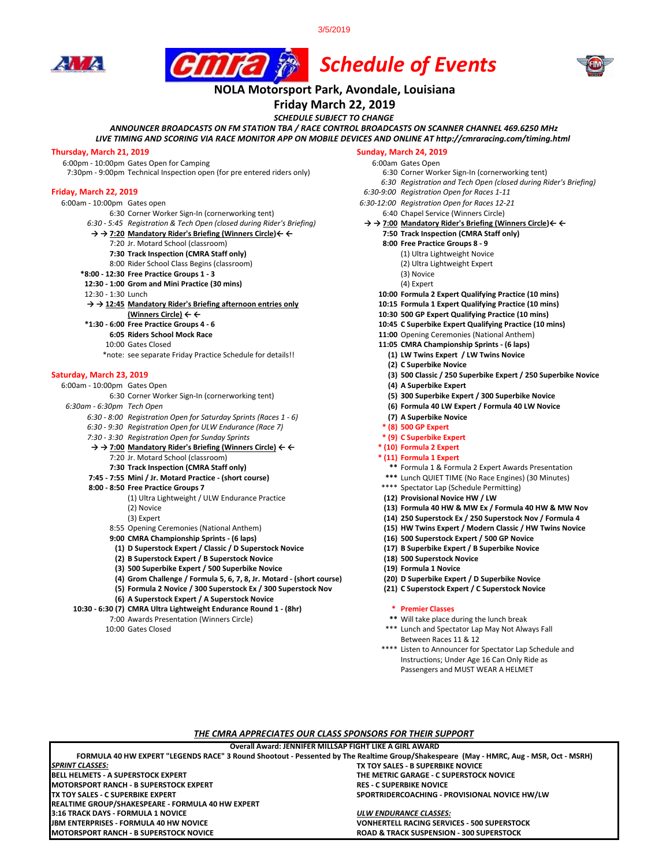







# **NOLA Motorsport Park, Avondale, Louisiana**

**Friday March 22, 2019**

*SCHEDULE SUBJECT TO CHANGE*

#### *LIVE TIMING AND SCORING VIA RACE MONITOR APP ON MOBILE DEVICES AND ONLINE AT http://cmraracing.com/timing.html ANNOUNCER BROADCASTS ON FM STATION TBA / RACE CONTROL BROADCASTS ON SCANNER CHANNEL 469.6250 MHz*

**Thursday, March 21, 2019**<br>
6:00pm - 10:00pm Gates Open for Camping<br>
6:00am Gates Open 6:00pm - 10:00pm Gates Open for Camping<br>7:30pm - 9:00pm Technical Inspection open (for pre entered riders only) 6:30 Corner Worker Sign-In (cornerworking tent)

7:30pm - 9:00pm Technical Inspection open (for pre entered riders only)

#### **Friday, March 22, 2019** *6:30-9:00 Registration Open for Races 1-11*

- 
- 6:00am 10:00pm Gates open *6:30-12:00 Registration Open for Races 12-21*
	-
	- $\rightarrow$  **→ 7:20 Mandatory Rider's Briefing (Winners Circle)** ← ←
		-
		- 7:20 Jr. Motard School (classroom) **8:00 Free Practice Groups 8 9 7:30 Track Inspection (CMRA Staff only)** (1) Ultra Lightweight Novice
		- 8:00 Rider School Class Begins (classroom)
	- **\*8:00 12:30 Free Practice Groups 1 3** (3) Novice
	- **12:30 1:00 Grom and Mini Practice (30 mins) 12:30 1:30 Lunch**
	-

**→ → 12:45 Mandatory Rider's Briefing afternoon entries only** 

- 
- -
- 
- \*note: see separate Friday Practice Schedule for details!!

- 6:00am 10:00pm Gates Open **(4) A Superbike Expert**
	- - *6:30 8:00 Registration Open for Saturday Sprints (Races 1 6)* **(7) A Superbike Novice**
		- *6:30 9:30 Registration Open for ULW Endurance (Race 7)* **\* (8) 500 GP Expert**
		-
		- *7:30 3:30 Registration Open for Sunday Sprints* **\*** (9) **c Superbike Expert \* (9) C Superbike Expert**<br>
		→ → 7:00 Mandatory Rider's Briefing (Winners Circle) ← ← (10) Formula 2 Expert  $\rightarrow$  **→ 7:00 Mandatory Rider's Briefing (Winners Circle)** ← ← 7:20 Jr. Motard School (classroom) **\* (11) Formula 1 Expert**
		-
		-
		- **8:00 8:50 Free Practice Groups 7** \*\*\*\* Spectator Lap (Schedule Permitting) (1) Ultra Lightweight / ULW Endurance Practice (2) Novice
			-
			-
			- **9:00 CMRA Championship Sprints (6 laps) (16) 500 Superstock Expert / 500 GP Novice**
			- **(1) D Superstock Expert / Classic / D Superstock Novice (17) B Superbike Expert / B Superbike Novice**
			- **(2) B Superstock Expert / B Superstock Novice (18) 500 Superstock Novice**
			- **(3) 500 Superbike Expert / 500 Superbike Novice (19) Formula 1 Novice**
			-
			- **(4) Grom Challenge / Formula 5, 6, 7, 8, Jr. Motard (short course) (20) D Superbike Expert / D Superbike Novice (5) Formula 2 Novice / 300 Superstock Ex / 300 Superstock Nov (21) C Superstock Expert / C Superstock Novice**
			- **(6) A Superstock Expert / A Superstock Novice**
	- **10:30 6:30 (7) CMRA Ultra Lightweight Endurance Round 1 (8hr) \* Premier Classes**
		-

- 
- *6:30 Registration and Tech Open (closed during Rider's Briefing)*
- 
- 
- 6:30 Corner Worker Sign-In (cornerworking tent)<br>6:45 Registration & Tech Open (closed during Rider's Briefing)  $\rightarrow \rightarrow$  7:00 Mandatory Rider's Briefing (Winners Circle)  $\leftarrow \leftarrow$ *6:30 - 5:45 Registration & Tech Open (closed during Rider's Briefing)* **→ → 7:00 Mandatory Rider's Briefing (Winners Circle)← ←** 
	-
	- -
		-
		-
	-
	- 10:00 Formula 2 Expert Qualifying Practice (10 mins)<br>10:15 Formula 1 Expert Qualifying Practice (10 mins)
	-
- **(Winners Circle) ← ← 10:30 500 GP Expert Qualifying Practice (10 mins)**
	- **\*1:30 6:00 Free Practice Groups 4 6 10:45 C Superbike Expert Qualifying Practice (10 mins)**
		- **11:00** Opening Ceremonies (National Anthem)
	- 10:00 Gates Closed **11:05 CMRA Championship Sprints (6 laps)**
		- **(2) C Superbike Novice**
- **Saturday, March 23, 2019 (3) 500 Classic / 250 Superbike Expert / 250 Superbike Novice**
	-
	- 6:30 Corner Worker Sign-In (cornerworking tent) **(5) 300 Superbike Expert / 300 Superbike Novice**
	- *6:30am 6:30pm Tech Open* **(6) Formula 40 LW Expert / Formula 40 LW Novice**
		-
		-
		-
		-
		- - **7:30 Track Inspection (CMRA Staff only) \*\*** Formula 1 & Formula 2 Expert Awards Presentation
		- **7:45 7:55 Mini / Jr. Motard Practice (short course) \*\*\*** Lunch QUIET TIME (No Race Engines) (30 Minutes)
			-
			-
			- (13) Formula 40 HW & MW Ex / Formula 40 HW & MW Nov
			-
			- (3) Expert **(14) 250 Superstock Ex / 250 Superstock Nov / Formula 4**  8:55 Opening Ceremonies (National Anthem) **(15) HW Twins Expert / Modern Classic / HW Twins Novice** 
				-
				-
				-
				-
				-
				-

- 7:00 Awards Presentation (Winners Circle) **\*\*** Will take place during the lunch break
	- \*\*\* Lunch and Spectator Lap May Not Always Fall Between Races 11 & 12
	- \*\*\*\* Listen to Announcer for Spectator Lap Schedule and Instructions; Under Age 16 Can Only Ride as Passengers and MUST WEAR A HELMET

### *THE CMRA APPRECIATES OUR CLASS SPONSORS FOR THEIR SUPPORT*

**Overall Award: JENNIFER MILLSAP FIGHT LIKE A GIRL AWARD**

**TX TOY SALES - B SUPERBIKE NOVICE BELL HELMETS - A SUPERSTOCK EXPERT THE METRIC GARAGE - C SUPERSTOCK NOVICE MOTORSPORT RANCH - B SUPERSTOCK EXPERT<br>TX TOY SALES - C SUPERBIKE EXPERT SPORTRIDERCOACHING - PROVISIONAL NOVICE HW/LW 3:16 TRACK DAYS - FORMULA 1 NOVICE** *ULW ENDURANCE CLASSES:* **JBM ENTERPRISES - FORMULA 40 HW NOVICE VONHERTELL RACING SERVICES - 500 SUPERSTOCK ROAD & TRACK SUSPENSION - 300 SUPERSTOCK FORMULA 40 HW EXPERT "LEGENDS RACE" 3 Round Shootout - Pessented by The Realtime Group/Shakespeare (May - HMRC, Aug - MSR, Oct - MSRH)** *SPRINT CLASSES:* **REALTIME GROUP/SHAKESPEARE - FORMULA 40 HW EXPERT**